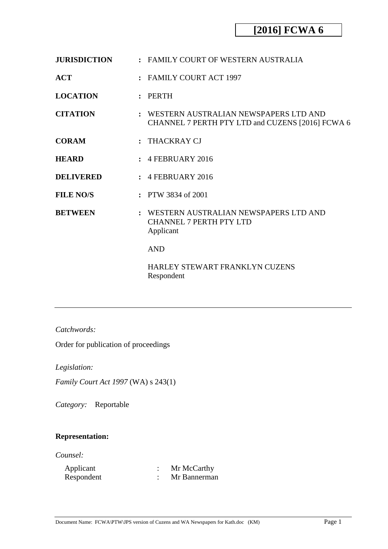| <b>JURISDICTION</b> | : FAMILY COURT OF WESTERN AUSTRALIA                                                         |
|---------------------|---------------------------------------------------------------------------------------------|
| ACT                 | : FAMILY COURT ACT 1997                                                                     |
| <b>LOCATION</b>     | :                                                                                           |
| <b>CITATION</b>     | : WESTERN AUSTRALIAN NEWSPAPERS LTD AND<br>CHANNEL 7 PERTH PTY LTD and CUZENS [2016] FCWA 6 |
| <b>CORAM</b>        | $:$ THACKRAY CJ                                                                             |
| <b>HEARD</b>        | $\pm$ 4 FEBRUARY 2016                                                                       |
| <b>DELIVERED</b>    | $: 4$ FEBRUARY 2016                                                                         |
| <b>FILE NO/S</b>    | : PTW 3834 of 2001                                                                          |
| <b>BETWEEN</b>      | : WESTERN AUSTRALIAN NEWSPAPERS LTD AND<br><b>CHANNEL 7 PERTH PTY LTD</b><br>Applicant      |
|                     | <b>AND</b>                                                                                  |
|                     | <b>HARLEY STEWART FRANKLYN CUZENS</b><br>Respondent                                         |

*Catchwords:*

Order for publication of proceedings

*Legislation:*

*Family Court Act 1997* (WA) s 243(1)

*Category:* Reportable

### **Representation:**

*Counsel:*

| Applicant  | Mr McCarthy  |
|------------|--------------|
| Respondent | Mr Bannerman |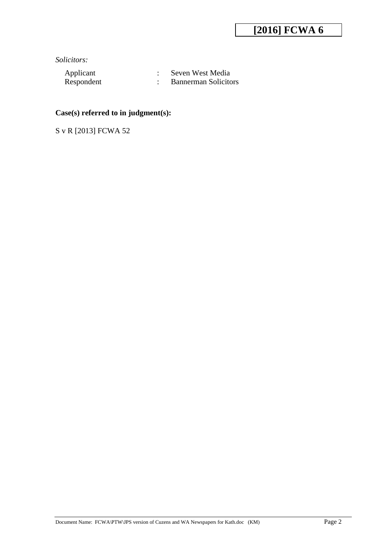*Solicitors:*

Applicant : Seven West Media<br>Respondent : Bannerman Solicito : Bannerman Solicitors

#### **Case(s) referred to in judgment(s):**

S v R [2013] FCWA 52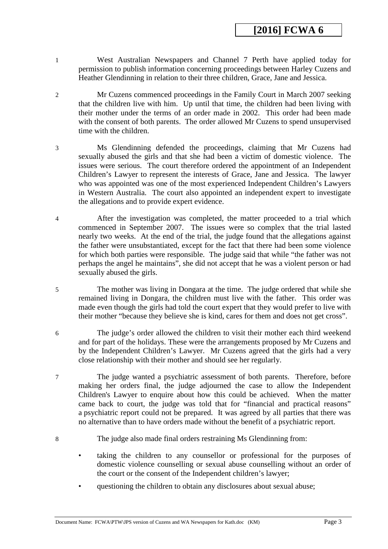- 1 West Australian Newspapers and Channel 7 Perth have applied today for permission to publish information concerning proceedings between Harley Cuzens and Heather Glendinning in relation to their three children, Grace, Jane and Jessica.
- 2 Mr Cuzens commenced proceedings in the Family Court in March 2007 seeking that the children live with him. Up until that time, the children had been living with their mother under the terms of an order made in 2002. This order had been made with the consent of both parents. The order allowed Mr Cuzens to spend unsupervised time with the children.
- 3 Ms Glendinning defended the proceedings, claiming that Mr Cuzens had sexually abused the girls and that she had been a victim of domestic violence. The issues were serious. The court therefore ordered the appointment of an Independent Children's Lawyer to represent the interests of Grace, Jane and Jessica. The lawyer who was appointed was one of the most experienced Independent Children's Lawyers in Western Australia. The court also appointed an independent expert to investigate the allegations and to provide expert evidence.
- 4 After the investigation was completed, the matter proceeded to a trial which commenced in September 2007. The issues were so complex that the trial lasted nearly two weeks. At the end of the trial, the judge found that the allegations against the father were unsubstantiated, except for the fact that there had been some violence for which both parties were responsible. The judge said that while "the father was not perhaps the angel he maintains", she did not accept that he was a violent person or had sexually abused the girls.
- 5 The mother was living in Dongara at the time. The judge ordered that while she remained living in Dongara, the children must live with the father. This order was made even though the girls had told the court expert that they would prefer to live with their mother "because they believe she is kind, cares for them and does not get cross".
- 6 The judge's order allowed the children to visit their mother each third weekend and for part of the holidays. These were the arrangements proposed by Mr Cuzens and by the Independent Children's Lawyer. Mr Cuzens agreed that the girls had a very close relationship with their mother and should see her regularly.
- 7 The judge wanted a psychiatric assessment of both parents. Therefore, before making her orders final, the judge adjourned the case to allow the Independent Children's Lawyer to enquire about how this could be achieved. When the matter came back to court, the judge was told that for "financial and practical reasons" a psychiatric report could not be prepared. It was agreed by all parties that there was no alternative than to have orders made without the benefit of a psychiatric report.
- 8 The judge also made final orders restraining Ms Glendinning from:
	- taking the children to any counsellor or professional for the purposes of domestic violence counselling or sexual abuse counselling without an order of the court or the consent of the Independent children's lawyer;
	- questioning the children to obtain any disclosures about sexual abuse;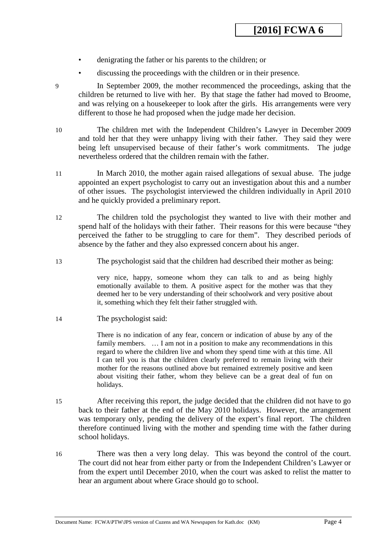- denigrating the father or his parents to the children; or
- discussing the proceedings with the children or in their presence.
- 

9 In September 2009, the mother recommenced the proceedings, asking that the children be returned to live with her. By that stage the father had moved to Broome, and was relying on a housekeeper to look after the girls. His arrangements were very different to those he had proposed when the judge made her decision.

10 The children met with the Independent Children's Lawyer in December 2009 and told her that they were unhappy living with their father. They said they were being left unsupervised because of their father's work commitments. The judge nevertheless ordered that the children remain with the father.

- 11 In March 2010, the mother again raised allegations of sexual abuse. The judge appointed an expert psychologist to carry out an investigation about this and a number of other issues. The psychologist interviewed the children individually in April 2010 and he quickly provided a preliminary report.
- 12 The children told the psychologist they wanted to live with their mother and spend half of the holidays with their father. Their reasons for this were because "they perceived the father to be struggling to care for them". They described periods of absence by the father and they also expressed concern about his anger.
- 13 The psychologist said that the children had described their mother as being:

very nice, happy, someone whom they can talk to and as being highly emotionally available to them. A positive aspect for the mother was that they deemed her to be very understanding of their schoolwork and very positive about it, something which they felt their father struggled with.

14 The psychologist said:

There is no indication of any fear, concern or indication of abuse by any of the family members. ... I am not in a position to make any recommendations in this regard to where the children live and whom they spend time with at this time. All I can tell you is that the children clearly preferred to remain living with their mother for the reasons outlined above but remained extremely positive and keen about visiting their father, whom they believe can be a great deal of fun on holidays.

- 15 After receiving this report, the judge decided that the children did not have to go back to their father at the end of the May 2010 holidays. However, the arrangement was temporary only, pending the delivery of the expert's final report. The children therefore continued living with the mother and spending time with the father during school holidays.
- 16 There was then a very long delay. This was beyond the control of the court. The court did not hear from either party or from the Independent Children's Lawyer or from the expert until December 2010, when the court was asked to relist the matter to hear an argument about where Grace should go to school.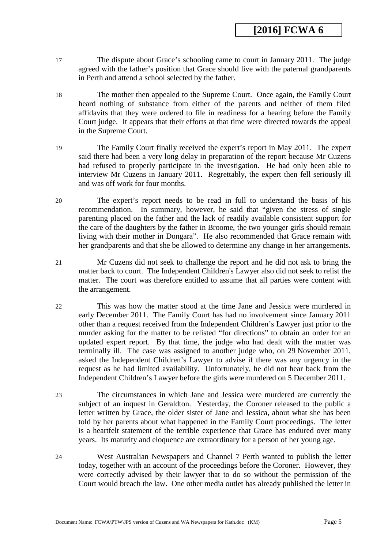- 17 The dispute about Grace's schooling came to court in January 2011. The judge agreed with the father's position that Grace should live with the paternal grandparents in Perth and attend a school selected by the father.
- 18 The mother then appealed to the Supreme Court. Once again, the Family Court heard nothing of substance from either of the parents and neither of them filed affidavits that they were ordered to file in readiness for a hearing before the Family Court judge. It appears that their efforts at that time were directed towards the appeal in the Supreme Court.
- 19 The Family Court finally received the expert's report in May 2011. The expert said there had been a very long delay in preparation of the report because Mr Cuzens had refused to properly participate in the investigation. He had only been able to interview Mr Cuzens in January 2011. Regrettably, the expert then fell seriously ill and was off work for four months.
- 20 The expert's report needs to be read in full to understand the basis of his recommendation. In summary, however, he said that "given the stress of single parenting placed on the father and the lack of readily available consistent support for the care of the daughters by the father in Broome, the two younger girls should remain living with their mother in Dongara". He also recommended that Grace remain with her grandparents and that she be allowed to determine any change in her arrangements.
- 21 Mr Cuzens did not seek to challenge the report and he did not ask to bring the matter back to court. The Independent Children's Lawyer also did not seek to relist the matter. The court was therefore entitled to assume that all parties were content with the arrangement.
- 22 This was how the matter stood at the time Jane and Jessica were murdered in early December 2011. The Family Court has had no involvement since January 2011 other than a request received from the Independent Children's Lawyer just prior to the murder asking for the matter to be relisted "for directions" to obtain an order for an updated expert report. By that time, the judge who had dealt with the matter was terminally ill. The case was assigned to another judge who, on 29 November 2011, asked the Independent Children's Lawyer to advise if there was any urgency in the request as he had limited availability. Unfortunately, he did not hear back from the Independent Children's Lawyer before the girls were murdered on 5 December 2011.
- 23 The circumstances in which Jane and Jessica were murdered are currently the subject of an inquest in Geraldton. Yesterday, the Coroner released to the public a letter written by Grace, the older sister of Jane and Jessica, about what she has been told by her parents about what happened in the Family Court proceedings. The letter is a heartfelt statement of the terrible experience that Grace has endured over many years. Its maturity and eloquence are extraordinary for a person of her young age.
- 24 West Australian Newspapers and Channel 7 Perth wanted to publish the letter today, together with an account of the proceedings before the Coroner. However, they were correctly advised by their lawyer that to do so without the permission of the Court would breach the law. One other media outlet has already published the letter in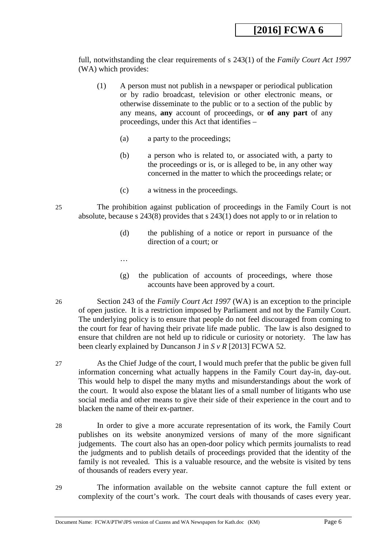full, notwithstanding the clear requirements of s 243(1) of the *Family Court Act 1997* (WA) which provides:

- (1) A person must not publish in a newspaper or periodical publication or by radio broadcast, television or other electronic means, or otherwise disseminate to the public or to a section of the public by any means, **any** account of proceedings, or **of any part** of any proceedings, under this Act that identifies –
	- (a) a party to the proceedings;
	- (b) a person who is related to, or associated with, a party to the proceedings or is, or is alleged to be, in any other way concerned in the matter to which the proceedings relate; or
	- (c) a witness in the proceedings.
- 25 The prohibition against publication of proceedings in the Family Court is not absolute, because s 243(8) provides that s 243(1) does not apply to or in relation to
	- (d) the publishing of a notice or report in pursuance of the direction of a court; or
	- …
	- (g) the publication of accounts of proceedings, where those accounts have been approved by a court.
- 26 Section 243 of the *Family Court Act 1997* (WA) is an exception to the principle of open justice. It is a restriction imposed by Parliament and not by the Family Court. The underlying policy is to ensure that people do not feel discouraged from coming to the court for fear of having their private life made public. The law is also designed to ensure that children are not held up to ridicule or curiosity or notoriety. The law has been clearly explained by Duncanson J in *S v R* [2013] FCWA 52.
- 27 As the Chief Judge of the court, I would much prefer that the public be given full information concerning what actually happens in the Family Court day-in, day-out. This would help to dispel the many myths and misunderstandings about the work of the court. It would also expose the blatant lies of a small number of litigants who use social media and other means to give their side of their experience in the court and to blacken the name of their ex-partner.
- 28 In order to give a more accurate representation of its work, the Family Court publishes on its website anonymized versions of many of the more significant judgements. The court also has an open-door policy which permits journalists to read the judgments and to publish details of proceedings provided that the identity of the family is not revealed. This is a valuable resource, and the website is visited by tens of thousands of readers every year.
- 29 The information available on the website cannot capture the full extent or complexity of the court's work. The court deals with thousands of cases every year.

Document Name: FCWA\PTW\JPS version of Cuzens and WA Newspapers for Kath.doc (KM) Page 6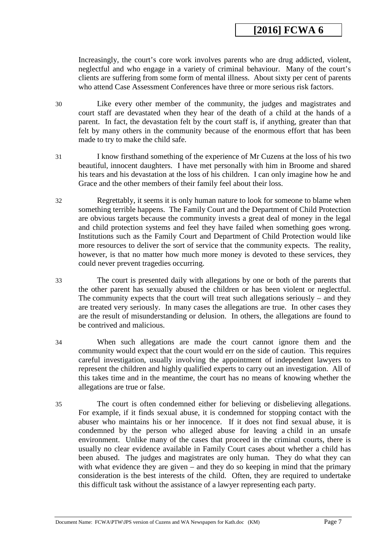Increasingly, the court's core work involves parents who are drug addicted, violent, neglectful and who engage in a variety of criminal behaviour. Many of the court's clients are suffering from some form of mental illness. About sixty per cent of parents who attend Case Assessment Conferences have three or more serious risk factors.

- 30 Like every other member of the community, the judges and magistrates and court staff are devastated when they hear of the death of a child at the hands of a parent. In fact, the devastation felt by the court staff is, if anything, greater than that felt by many others in the community because of the enormous effort that has been made to try to make the child safe.
- 31 I know firsthand something of the experience of Mr Cuzens at the loss of his two beautiful, innocent daughters. I have met personally with him in Broome and shared his tears and his devastation at the loss of his children. I can only imagine how he and Grace and the other members of their family feel about their loss.
- 32 Regrettably, it seems it is only human nature to look for someone to blame when something terrible happens. The Family Court and the Department of Child Protection are obvious targets because the community invests a great deal of money in the legal and child protection systems and feel they have failed when something goes wrong. Institutions such as the Family Court and Department of Child Protection would like more resources to deliver the sort of service that the community expects. The reality, however, is that no matter how much more money is devoted to these services, they could never prevent tragedies occurring.
- 33 The court is presented daily with allegations by one or both of the parents that the other parent has sexually abused the children or has been violent or neglectful. The community expects that the court will treat such allegations seriously – and they are treated very seriously. In many cases the allegations are true. In other cases they are the result of misunderstanding or delusion. In others, the allegations are found to be contrived and malicious.
- 34 When such allegations are made the court cannot ignore them and the community would expect that the court would err on the side of caution. This requires careful investigation, usually involving the appointment of independent lawyers to represent the children and highly qualified experts to carry out an investigation. All of this takes time and in the meantime, the court has no means of knowing whether the allegations are true or false.
- 35 The court is often condemned either for believing or disbelieving allegations. For example, if it finds sexual abuse, it is condemned for stopping contact with the abuser who maintains his or her innocence. If it does not find sexual abuse, it is condemned by the person who alleged abuse for leaving a child in an unsafe environment. Unlike many of the cases that proceed in the criminal courts, there is usually no clear evidence available in Family Court cases about whether a child has been abused. The judges and magistrates are only human. They do what they can with what evidence they are given – and they do so keeping in mind that the primary consideration is the best interests of the child. Often, they are required to undertake this difficult task without the assistance of a lawyer representing each party.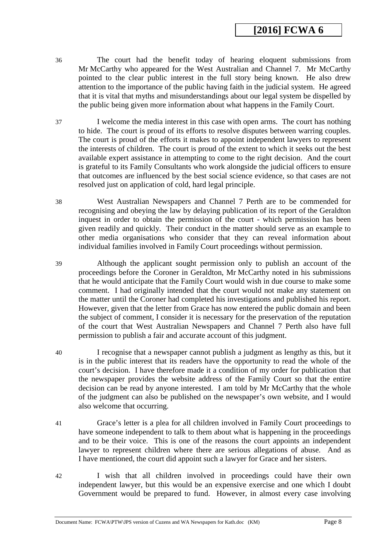- 36 The court had the benefit today of hearing eloquent submissions from Mr McCarthy who appeared for the West Australian and Channel 7. Mr McCarthy pointed to the clear public interest in the full story being known. He also drew attention to the importance of the public having faith in the judicial system. He agreed that it is vital that myths and misunderstandings about our legal system be dispelled by the public being given more information about what happens in the Family Court.
- 37 I welcome the media interest in this case with open arms. The court has nothing to hide. The court is proud of its efforts to resolve disputes between warring couples. The court is proud of the efforts it makes to appoint independent lawyers to represent the interests of children. The court is proud of the extent to which it seeks out the best available expert assistance in attempting to come to the right decision. And the court is grateful to its Family Consultants who work alongside the judicial officers to ensure that outcomes are influenced by the best social science evidence, so that cases are not resolved just on application of cold, hard legal principle.
- 38 West Australian Newspapers and Channel 7 Perth are to be commended for recognising and obeying the law by delaying publication of its report of the Geraldton inquest in order to obtain the permission of the court - which permission has been given readily and quickly. Their conduct in the matter should serve as an example to other media organisations who consider that they can reveal information about individual families involved in Family Court proceedings without permission.
- 39 Although the applicant sought permission only to publish an account of the proceedings before the Coroner in Geraldton, Mr McCarthy noted in his submissions that he would anticipate that the Family Court would wish in due course to make some comment. I had originally intended that the court would not make any statement on the matter until the Coroner had completed his investigations and published his report. However, given that the letter from Grace has now entered the public domain and been the subject of comment, I consider it is necessary for the preservation of the reputation of the court that West Australian Newspapers and Channel 7 Perth also have full permission to publish a fair and accurate account of this judgment.
- 40 I recognise that a newspaper cannot publish a judgment as lengthy as this, but it is in the public interest that its readers have the opportunity to read the whole of the court's decision. I have therefore made it a condition of my order for publication that the newspaper provides the website address of the Family Court so that the entire decision can be read by anyone interested. I am told by Mr McCarthy that the whole of the judgment can also be published on the newspaper's own website, and I would also welcome that occurring.
- 41 Grace's letter is a plea for all children involved in Family Court proceedings to have someone independent to talk to them about what is happening in the proceedings and to be their voice. This is one of the reasons the court appoints an independent lawyer to represent children where there are serious allegations of abuse. And as I have mentioned, the court did appoint such a lawyer for Grace and her sisters.
- 42 I wish that all children involved in proceedings could have their own independent lawyer, but this would be an expensive exercise and one which I doubt Government would be prepared to fund. However, in almost every case involving